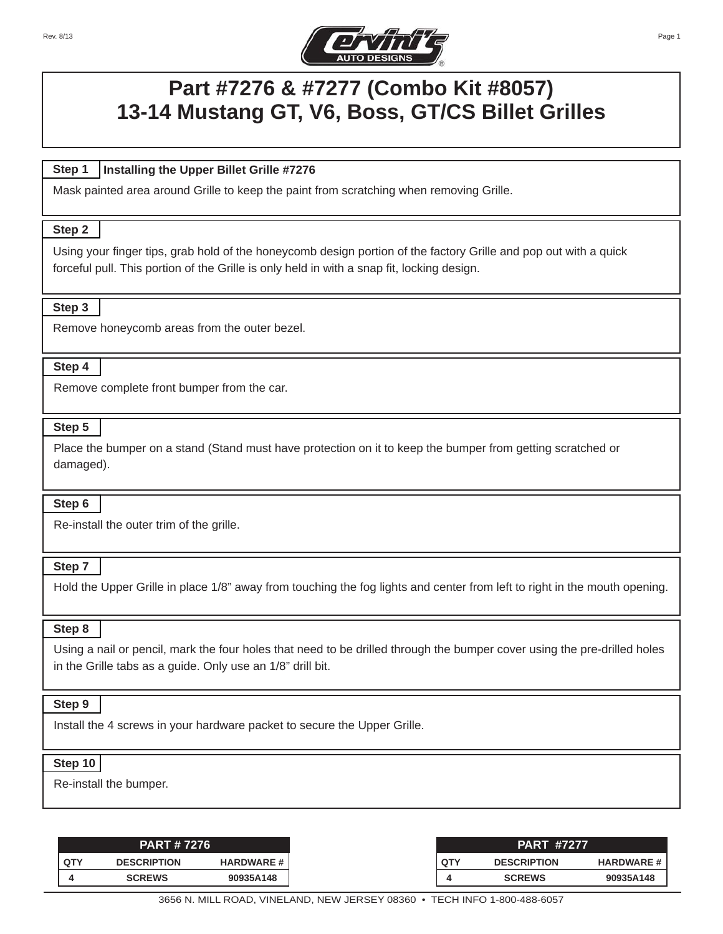Rev. 8/13



# **Part #7276 & #7277 (Combo Kit #8057) 13-14 Mustang GT, V6, Boss, GT/CS Billet Grilles**

#### **Step 1 Installing the Upper Billet Grille #7276**

Mask painted area around Grille to keep the paint from scratching when removing Grille.

# **Step 1::: Step 2**

Using your finger tips, grab hold of the honeycomb design portion of the factory Grille and pop out with a quick forceful pull. This portion of the Grille is only held in with a snap fit, locking design.

# **Step 1::: Step 3**

Remove honeycomb areas from the outer bezel.

# **Step 1::: Step 4**

Remove complete front bumper from the car.

# **Step 1::: Step 5**

Place the bumper on a stand (Stand must have protection on it to keep the bumper from getting scratched or damaged).

### Step 6

Re-install the outer trim of the grille.

# **Step 1::: Step 7**

Hold the Upper Grille in place 1/8" away from touching the fog lights and center from left to right in the mouth opening.

### **Step 1::: Step 8**

Using a nail or pencil, mark the four holes that need to be drilled through the bumper cover using the pre-drilled holes in the Grille tabs as a guide. Only use an 1/8" drill bit.

### **Step 1::: Step 9**

Install the 4 screws in your hardware packet to secure the Upper Grille.

### $Step 10$

Re-install the bumper.

|                   | <b>PART #7276</b>  |                  |
|-------------------|--------------------|------------------|
| . QT <sup>v</sup> | <b>DESCRIPTION</b> | <b>HARDWARE#</b> |
|                   | <b>SCREWS</b>      | 90935A148        |

Page 1